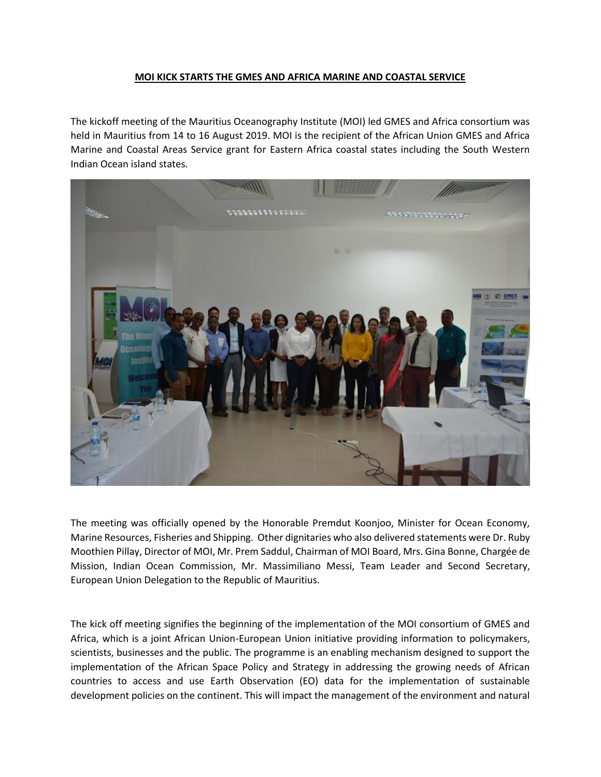## **MOI KICK STARTS THE GMES AND AFRICA MARINE AND COASTAL SERVICE**

The kickoff meeting of the Mauritius Oceanography Institute (MOI) led GMES and Africa consortium was held in Mauritius from 14 to 16 August 2019. MOI is the recipient of the African Union GMES and Africa Marine and Coastal Areas Service grant for Eastern Africa coastal states including the South Western Indian Ocean island states.



The meeting was officially opened by the Honorable Premdut Koonjoo, Minister for Ocean Economy, Marine Resources, Fisheries and Shipping. Other dignitaries who also delivered statements were Dr. Ruby Moothien Pillay, Director of MOI, Mr. Prem Saddul, Chairman of MOI Board, Mrs. Gina Bonne, Chargée de Mission, Indian Ocean Commission, Mr. Massimiliano Messi, Team Leader and Second Secretary, European Union Delegation to the Republic of Mauritius.

The kick off meeting signifies the beginning of the implementation of the MOI consortium of GMES and Africa, which is a joint African Union-European Union initiative providing information to policymakers, scientists, businesses and the public. The programme is an enabling mechanism designed to support the implementation of the African Space Policy and Strategy in addressing the growing needs of African countries to access and use Earth Observation (EO) data for the implementation of sustainable development policies on the continent. This will impact the management of the environment and natural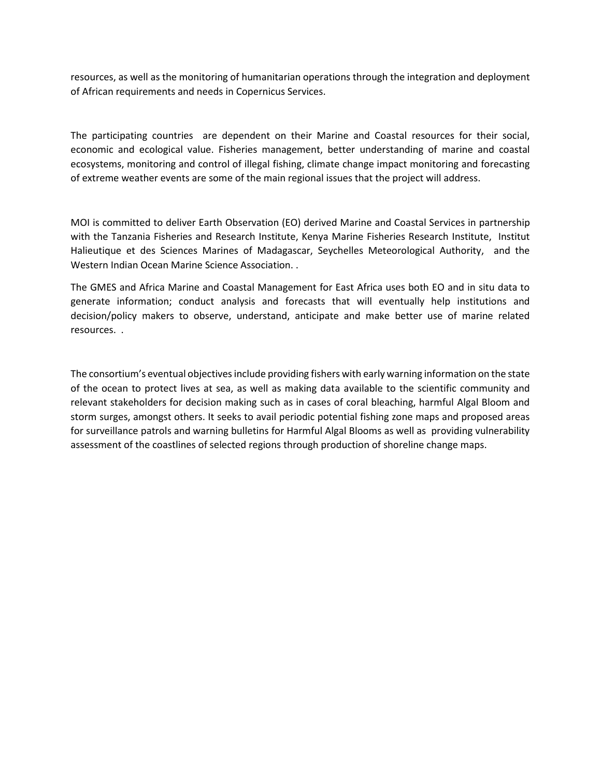resources, as well as the monitoring of humanitarian operations through the integration and deployment of African requirements and needs in Copernicus Services.

The participating countries are dependent on their Marine and Coastal resources for their social, economic and ecological value. Fisheries management, better understanding of marine and coastal ecosystems, monitoring and control of illegal fishing, climate change impact monitoring and forecasting of extreme weather events are some of the main regional issues that the project will address.

MOI is committed to deliver Earth Observation (EO) derived Marine and Coastal Services in partnership with the Tanzania Fisheries and Research Institute, Kenya Marine Fisheries Research Institute, Institut Halieutique et des Sciences Marines of Madagascar, Seychelles Meteorological Authority, and the Western Indian Ocean Marine Science Association. .

The GMES and Africa Marine and Coastal Management for East Africa uses both EO and in situ data to generate information; conduct analysis and forecasts that will eventually help institutions and decision/policy makers to observe, understand, anticipate and make better use of marine related resources. .

The consortium's eventual objectives include providing fishers with early warning information on the state of the ocean to protect lives at sea, as well as making data available to the scientific community and relevant stakeholders for decision making such as in cases of coral bleaching, harmful Algal Bloom and storm surges, amongst others. It seeks to avail periodic potential fishing zone maps and proposed areas for surveillance patrols and warning bulletins for Harmful Algal Blooms as well as providing vulnerability assessment of the coastlines of selected regions through production of shoreline change maps.